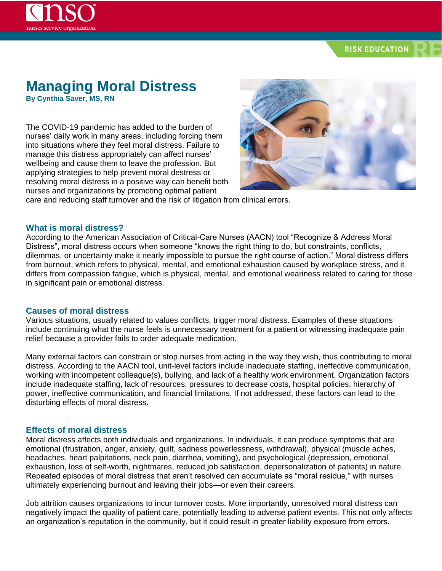### **RISK EDUCATION**

# **Managing Moral Distress**

**By Cynthia Saver, MS, RN**

The COVID-19 pandemic has added to the burden of nurses' daily work in many areas, including forcing them into situations where they feel moral distress. Failure to manage this distress appropriately can affect nurses' wellbeing and cause them to leave the profession. But applying strategies to help prevent moral destress or resolving moral distress in a positive way can benefit both nurses and organizations by promoting optimal patient



care and reducing staff turnover and the risk of litigation from clinical errors.

#### **What is moral distress?**

According to the American Association of Critical-Care Nurses (AACN) tool "Recognize & Address Moral Distress", moral distress occurs when someone "knows the right thing to do, but constraints, conflicts, dilemmas, or uncertainty make it nearly impossible to pursue the right course of action." Moral distress differs from burnout, which refers to physical, mental, and emotional exhaustion caused by workplace stress, and it differs from compassion fatigue, which is physical, mental, and emotional weariness related to caring for those in significant pain or emotional distress.

#### **Causes of moral distress**

Various situations, usually related to values conflicts, trigger moral distress. Examples of these situations include continuing what the nurse feels is unnecessary treatment for a patient or witnessing inadequate pain relief because a provider fails to order adequate medication.

Many external factors can constrain or stop nurses from acting in the way they wish, thus contributing to moral distress. According to the AACN tool, unit-level factors include inadequate staffing, ineffective communication, working with incompetent colleague(s), bullying, and lack of a healthy work environment. Organization factors include inadequate staffing, lack of resources, pressures to decrease costs, hospital policies, hierarchy of power, ineffective communication, and financial limitations. If not addressed, these factors can lead to the disturbing effects of moral distress.

#### **Effects of moral distress**

Moral distress affects both individuals and organizations. In individuals, it can produce symptoms that are emotional (frustration, anger, anxiety, guilt, sadness powerlessness, withdrawal), physical (muscle aches, headaches, heart palpitations, neck pain, diarrhea, vomiting), and psychological (depression, emotional exhaustion, loss of self-worth, nightmares, reduced job satisfaction, depersonalization of patients) in nature. Repeated episodes of moral distress that aren't resolved can accumulate as "moral residue," with nurses ultimately experiencing burnout and leaving their jobs—or even their careers.

Job attrition causes organizations to incur turnover costs. More importantly, unresolved moral distress can negatively impact the quality of patient care, potentially leading to adverse patient events. This not only affects an organization's reputation in the community, but it could result in greater liability exposure from errors.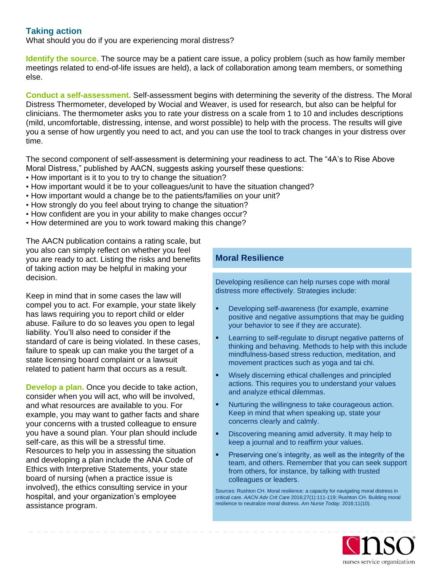# **Taking action**

What should you do if you are experiencing moral distress?

**Identify the source.** The source may be a patient care issue, a policy problem (such as how family member meetings related to end-of-life issues are held), a lack of collaboration among team members, or something else.

**Conduct a self-assessment.** Self-assessment begins with determining the severity of the distress. The Moral Distress Thermometer, developed by Wocial and Weaver, is used for research, but also can be helpful for clinicians. The thermometer asks you to rate your distress on a scale from 1 to 10 and includes descriptions (mild, uncomfortable, distressing, intense, and worst possible) to help with the process. The results will give you a sense of how urgently you need to act, and you can use the tool to track changes in your distress over time.

The second component of self-assessment is determining your readiness to act. The "4A's to Rise Above Moral Distress," published by AACN, suggests asking yourself these questions:

- How important is it to you to try to change the situation?
- How important would it be to your colleagues/unit to have the situation changed?
- How important would a change be to the patients/families on your unit?
- How strongly do you feel about trying to change the situation?
- How confident are you in your ability to make changes occur?
- How determined are you to work toward making this change?

The AACN publication contains a rating scale, but you also can simply reflect on whether you feel you are ready to act. Listing the risks and benefits of taking action may be helpful in making your decision.

Keep in mind that in some cases the law will compel you to act. For example, your state likely has laws requiring you to report child or elder abuse. Failure to do so leaves you open to legal liability. You'll also need to consider if the standard of care is being violated. In these cases, failure to speak up can make you the target of a state licensing board complaint or a lawsuit related to patient harm that occurs as a result.

**Develop a plan.** Once you decide to take action, consider when you will act, who will be involved, and what resources are available to you. For example, you may want to gather facts and share your concerns with a trusted colleague to ensure you have a sound plan. Your plan should include self-care, as this will be a stressful time. Resources to help you in assessing the situation and developing a plan include the ANA Code of Ethics with Interpretive Statements, your state board of nursing (when a practice issue is involved), the ethics consulting service in your hospital, and your organization's employee assistance program.

# **Moral Resilience**

Developing resilience can help nurses cope with moral distress more effectively. Strategies include:

- Developing self-awareness (for example, examine positive and negative assumptions that may be guiding your behavior to see if they are accurate).
- Learning to self-regulate to disrupt negative patterns of thinking and behaving. Methods to help with this include mindfulness-based stress reduction, meditation, and movement practices such as yoga and tai chi.
- Wisely discerning ethical challenges and principled actions. This requires you to understand your values and analyze ethical dilemmas.
- Nurturing the willingness to take courageous action. Keep in mind that when speaking up, state your concerns clearly and calmly.
- Discovering meaning amid adversity. It may help to keep a journal and to reaffirm your values.
- Preserving one's integrity, as well as the integrity of the team, and others. Remember that you can seek support from others, for instance, by talking with trusted colleagues or leaders.

Sources: Rushton CH. Moral resilience: a capacity for navigating moral distress in critical care. *AACN Adv Crit Care* 2016;27(1):111-119; Rushton CH. Building moral resilience to neutralize moral distress. *Am Nurse Today*. 2016;11(10).

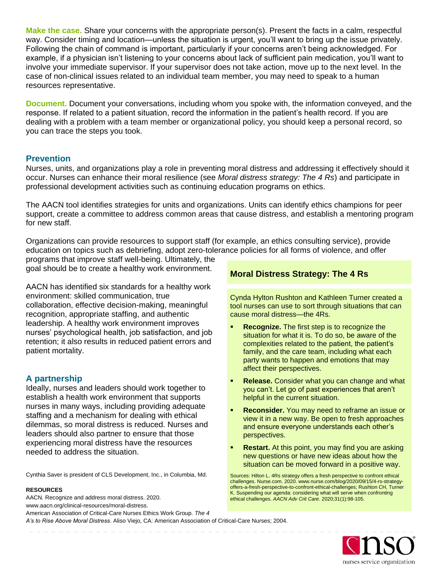**Make the case.** Share your concerns with the appropriate person(s). Present the facts in a calm, respectful way. Consider timing and location—unless the situation is urgent, you'll want to bring up the issue privately. Following the chain of command is important, particularly if your concerns aren't being acknowledged. For example, if a physician isn't listening to your concerns about lack of sufficient pain medication, you'll want to involve your immediate supervisor. If your supervisor does not take action, move up to the next level. In the case of non-clinical issues related to an individual team member, you may need to speak to a human resources representative.

**Document.** Document your conversations, including whom you spoke with, the information conveyed, and the response. If related to a patient situation, record the information in the patient's health record. If you are dealing with a problem with a team member or organizational policy, you should keep a personal record, so you can trace the steps you took.

#### **Prevention**

Nurses, units, and organizations play a role in preventing moral distress and addressing it effectively should it occur. Nurses can enhance their moral resilience (see *Moral distress strategy: The 4 Rs*) and participate in professional development activities such as continuing education programs on ethics.

The AACN tool identifies strategies for units and organizations. Units can identify ethics champions for peer support, create a committee to address common areas that cause distress, and establish a mentoring program for new staff.

Organizations can provide resources to support staff (for example, an ethics consulting service), provide education on topics such as debriefing, adopt zero-tolerance policies for all forms of violence, and offer

programs that improve staff well-being. Ultimately, the goal should be to create a healthy work environment.

AACN has identified six standards for a healthy work environment: skilled communication, true collaboration, effective decision-making, meaningful recognition, appropriate staffing, and authentic leadership. A healthy work environment improves nurses' psychological health, job satisfaction, and job retention; it also results in reduced patient errors and patient mortality.

## **A partnership**

Ideally, nurses and leaders should work together to establish a health work environment that supports nurses in many ways, including providing adequate staffing and a mechanism for dealing with ethical dilemmas, so moral distress is reduced. Nurses and leaders should also partner to ensure that those experiencing moral distress have the resources needed to address the situation.

Cynthia Saver is president of CLS Development, Inc., in Columbia, Md.

#### **RESOURCES**

- AACN. Recognize and address moral distress. 2020.
- www.aacn.org/clinical-resources/moral-distress.

American Association of Critical-Care Nurses Ethics Work Group. *The 4 A's to Rise Above Moral Distress*. Aliso Viejo, CA: American Association of Critical-Care Nurses; 2004.

# **Moral Distress Strategy: The 4 Rs**

Cynda Hylton Rushton and Kathleen Turner created a tool nurses can use to sort through situations that can cause moral distress—the 4Rs.

- **Recognize.** The first step is to recognize the situation for what it is. To do so, be aware of the complexities related to the patient, the patient's family, and the care team, including what each party wants to happen and emotions that may affect their perspectives.
- **Release.** Consider what you can change and what you can't. Let go of past experiences that aren't helpful in the current situation.
- **Reconsider.** You may need to reframe an issue or view it in a new way. Be open to fresh approaches and ensure everyone understands each other's perspectives.
- **Restart.** At this point, you may find you are asking new questions or have new ideas about how the situation can be moved forward in a positive way.

Sources: Hilton L. 4Rs strategy offers a fresh perspective to confront ethical challenges. Nurse.com. 2020. www.nurse.com/blog/2020/09/15/4-rs-strategyoffers-a-fresh-perspective-to-confront-ethical-challenges; Rushton CH, Turner K. Suspending our agenda: considering what will serve when confronting ethical challenges. *AACN Adv Crit Care*. 2020;31(1):98-105.